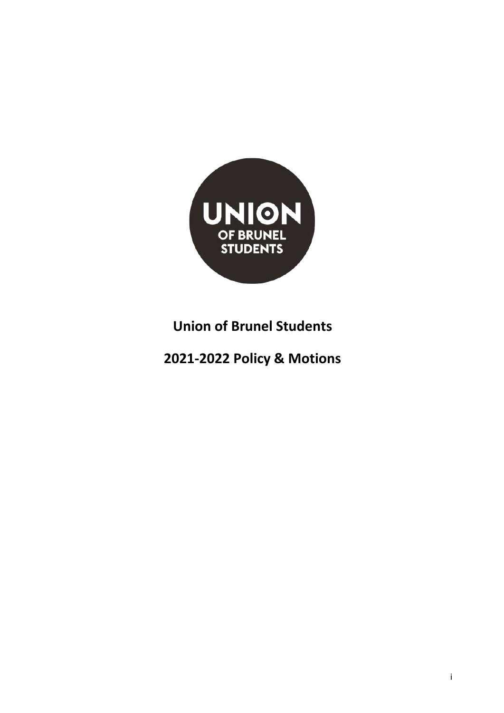

# **Union of Brunel Students**

## **2021-2022 Policy & Motions**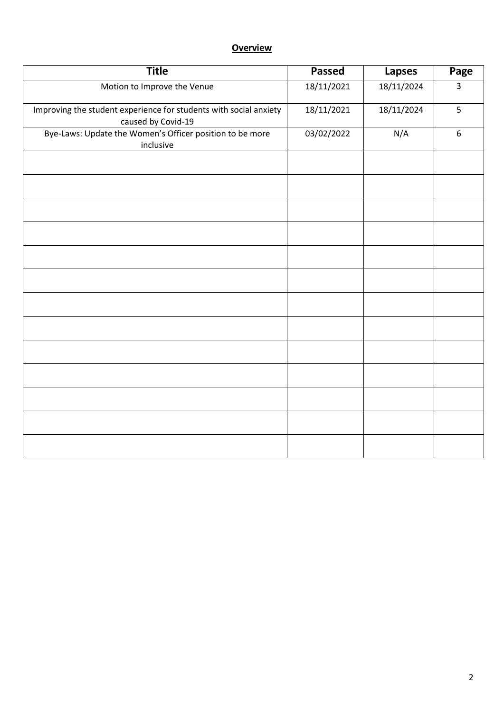## **Overview**

| <b>Title</b>                                                                            | <b>Passed</b> | <b>Lapses</b> | Page             |
|-----------------------------------------------------------------------------------------|---------------|---------------|------------------|
| Motion to Improve the Venue                                                             | 18/11/2021    | 18/11/2024    | $\overline{3}$   |
| Improving the student experience for students with social anxiety<br>caused by Covid-19 | 18/11/2021    | 18/11/2024    | 5                |
| Bye-Laws: Update the Women's Officer position to be more<br>inclusive                   | 03/02/2022    | N/A           | $\boldsymbol{6}$ |
|                                                                                         |               |               |                  |
|                                                                                         |               |               |                  |
|                                                                                         |               |               |                  |
|                                                                                         |               |               |                  |
|                                                                                         |               |               |                  |
|                                                                                         |               |               |                  |
|                                                                                         |               |               |                  |
|                                                                                         |               |               |                  |
|                                                                                         |               |               |                  |
|                                                                                         |               |               |                  |
|                                                                                         |               |               |                  |
|                                                                                         |               |               |                  |
|                                                                                         |               |               |                  |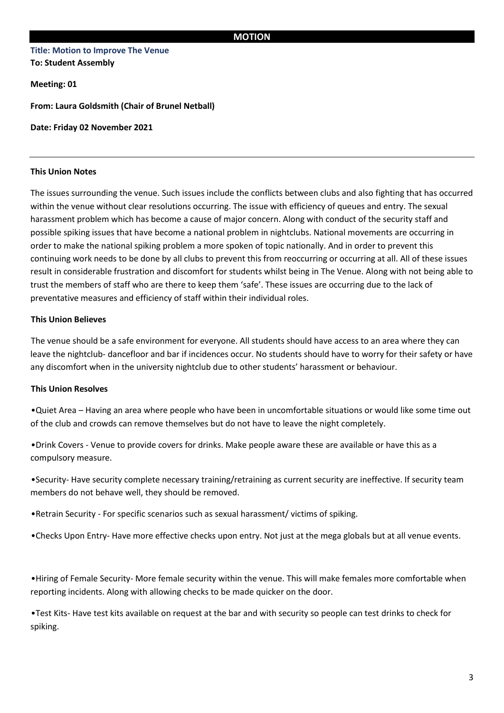### **Title: Motion to Improve The Venue To: Student Assembly**

**Meeting: 01**

**From: Laura Goldsmith (Chair of Brunel Netball)** 

**Date: Friday 02 November 2021** 

#### **This Union Notes**

The issues surrounding the venue. Such issues include the conflicts between clubs and also fighting that has occurred within the venue without clear resolutions occurring. The issue with efficiency of queues and entry. The sexual harassment problem which has become a cause of major concern. Along with conduct of the security staff and possible spiking issues that have become a national problem in nightclubs. National movements are occurring in order to make the national spiking problem a more spoken of topic nationally. And in order to prevent this continuing work needs to be done by all clubs to prevent this from reoccurring or occurring at all. All of these issues result in considerable frustration and discomfort for students whilst being in The Venue. Along with not being able to trust the members of staff who are there to keep them 'safe'. These issues are occurring due to the lack of preventative measures and efficiency of staff within their individual roles.

#### **This Union Believes**

The venue should be a safe environment for everyone. All students should have access to an area where they can leave the nightclub- dancefloor and bar if incidences occur. No students should have to worry for their safety or have any discomfort when in the university nightclub due to other students' harassment or behaviour.

#### **This Union Resolves**

•Quiet Area – Having an area where people who have been in uncomfortable situations or would like some time out of the club and crowds can remove themselves but do not have to leave the night completely.

•Drink Covers - Venue to provide covers for drinks. Make people aware these are available or have this as a compulsory measure.

•Security- Have security complete necessary training/retraining as current security are ineffective. If security team members do not behave well, they should be removed.

•Retrain Security - For specific scenarios such as sexual harassment/ victims of spiking.

•Checks Upon Entry- Have more effective checks upon entry. Not just at the mega globals but at all venue events.

•Hiring of Female Security- More female security within the venue. This will make females more comfortable when reporting incidents. Along with allowing checks to be made quicker on the door.

•Test Kits- Have test kits available on request at the bar and with security so people can test drinks to check for spiking.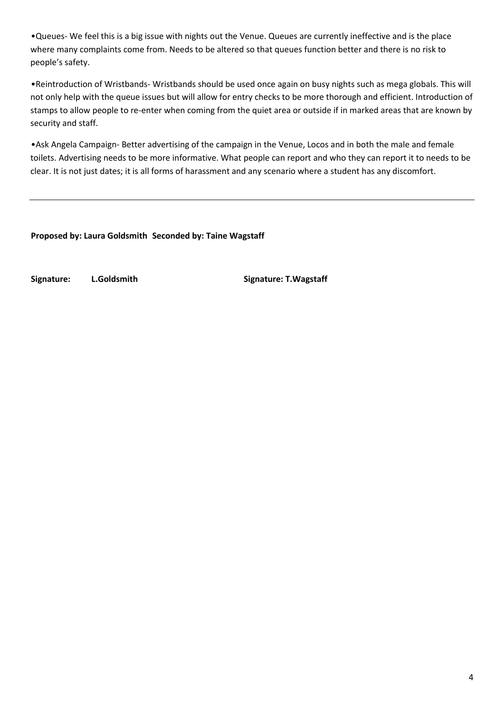•Queues- We feel this is a big issue with nights out the Venue. Queues are currently ineffective and is the place where many complaints come from. Needs to be altered so that queues function better and there is no risk to people's safety.

•Reintroduction of Wristbands- Wristbands should be used once again on busy nights such as mega globals. This will not only help with the queue issues but will allow for entry checks to be more thorough and efficient. Introduction of stamps to allow people to re-enter when coming from the quiet area or outside if in marked areas that are known by security and staff.

•Ask Angela Campaign- Better advertising of the campaign in the Venue, Locos and in both the male and female toilets. Advertising needs to be more informative. What people can report and who they can report it to needs to be clear. It is not just dates; it is all forms of harassment and any scenario where a student has any discomfort.

**Proposed by: Laura Goldsmith Seconded by: Taine Wagstaff**

**Signature: L.Goldsmith Signature: T.Wagstaff**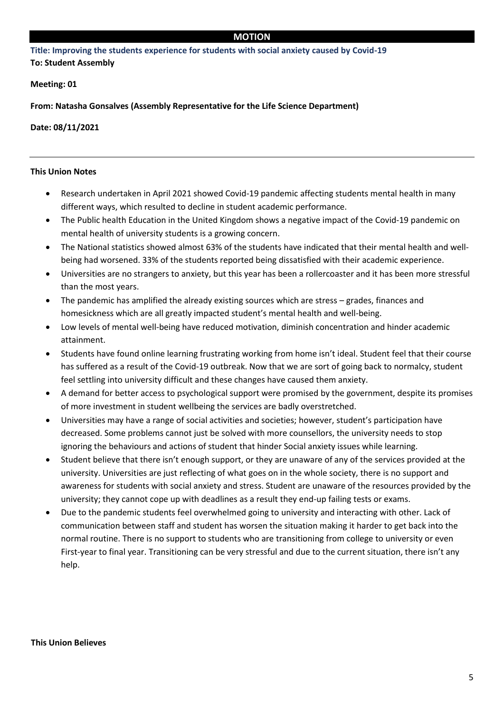#### **MOTION**

**Title: Improving the students experience for students with social anxiety caused by Covid-19 To: Student Assembly** 

**Meeting: 01**

**From: Natasha Gonsalves (Assembly Representative for the Life Science Department)**

**Date: 08/11/2021**

#### **This Union Notes**

- Research undertaken in April 2021 showed Covid-19 pandemic affecting students mental health in many different ways, which resulted to decline in student academic performance.
- The Public health Education in the United Kingdom shows a negative impact of the Covid-19 pandemic on mental health of university students is a growing concern.
- The National statistics showed almost 63% of the students have indicated that their mental health and wellbeing had worsened. 33% of the students reported being dissatisfied with their academic experience.
- Universities are no strangers to anxiety, but this year has been a rollercoaster and it has been more stressful than the most years.
- The pandemic has amplified the already existing sources which are stress grades, finances and homesickness which are all greatly impacted student's mental health and well-being.
- Low levels of mental well-being have reduced motivation, diminish concentration and hinder academic attainment.
- Students have found online learning frustrating working from home isn't ideal. Student feel that their course has suffered as a result of the Covid-19 outbreak. Now that we are sort of going back to normalcy, student feel settling into university difficult and these changes have caused them anxiety.
- A demand for better access to psychological support were promised by the government, despite its promises of more investment in student wellbeing the services are badly overstretched.
- Universities may have a range of social activities and societies; however, student's participation have decreased. Some problems cannot just be solved with more counsellors, the university needs to stop ignoring the behaviours and actions of student that hinder Social anxiety issues while learning.
- Student believe that there isn't enough support, or they are unaware of any of the services provided at the university. Universities are just reflecting of what goes on in the whole society, there is no support and awareness for students with social anxiety and stress. Student are unaware of the resources provided by the university; they cannot cope up with deadlines as a result they end-up failing tests or exams.
- Due to the pandemic students feel overwhelmed going to university and interacting with other. Lack of communication between staff and student has worsen the situation making it harder to get back into the normal routine. There is no support to students who are transitioning from college to university or even First-year to final year. Transitioning can be very stressful and due to the current situation, there isn't any help.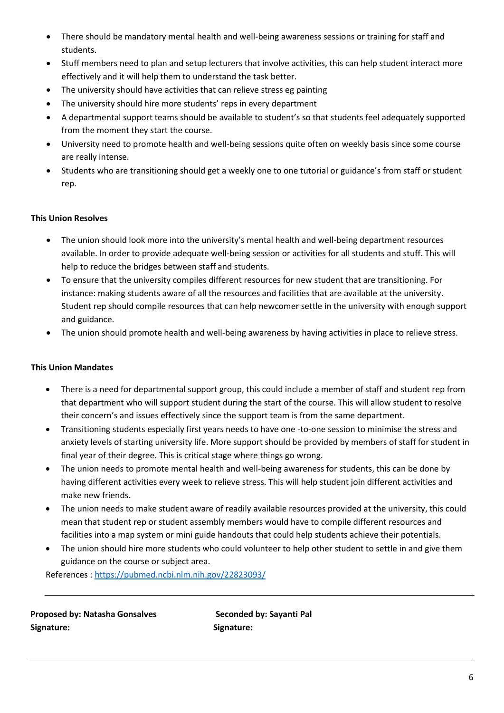- There should be mandatory mental health and well-being awareness sessions or training for staff and students.
- Stuff members need to plan and setup lecturers that involve activities, this can help student interact more effectively and it will help them to understand the task better.
- The university should have activities that can relieve stress eg painting
- The university should hire more students' reps in every department
- A departmental support teams should be available to student's so that students feel adequately supported from the moment they start the course.
- University need to promote health and well-being sessions quite often on weekly basis since some course are really intense.
- Students who are transitioning should get a weekly one to one tutorial or guidance's from staff or student rep.

### **This Union Resolves**

- The union should look more into the university's mental health and well-being department resources available. In order to provide adequate well-being session or activities for all students and stuff. This will help to reduce the bridges between staff and students.
- To ensure that the university compiles different resources for new student that are transitioning. For instance: making students aware of all the resources and facilities that are available at the university. Student rep should compile resources that can help newcomer settle in the university with enough support and guidance.
- The union should promote health and well-being awareness by having activities in place to relieve stress.

### **This Union Mandates**

- There is a need for departmental support group, this could include a member of staff and student rep from that department who will support student during the start of the course. This will allow student to resolve their concern's and issues effectively since the support team is from the same department.
- Transitioning students especially first years needs to have one -to-one session to minimise the stress and anxiety levels of starting university life. More support should be provided by members of staff for student in final year of their degree. This is critical stage where things go wrong.
- The union needs to promote mental health and well-being awareness for students, this can be done by having different activities every week to relieve stress. This will help student join different activities and make new friends.
- The union needs to make student aware of readily available resources provided at the university, this could mean that student rep or student assembly members would have to compile different resources and facilities into a map system or mini guide handouts that could help students achieve their potentials.
- The union should hire more students who could volunteer to help other student to settle in and give them guidance on the course or subject area.

References [: https://pubmed.ncbi.nlm.nih.gov/22823093/](https://pubmed.ncbi.nlm.nih.gov/22823093/)

**Proposed by: Natasha Gonsalves Seconded by: Sayanti Pal Signature: Signature:**